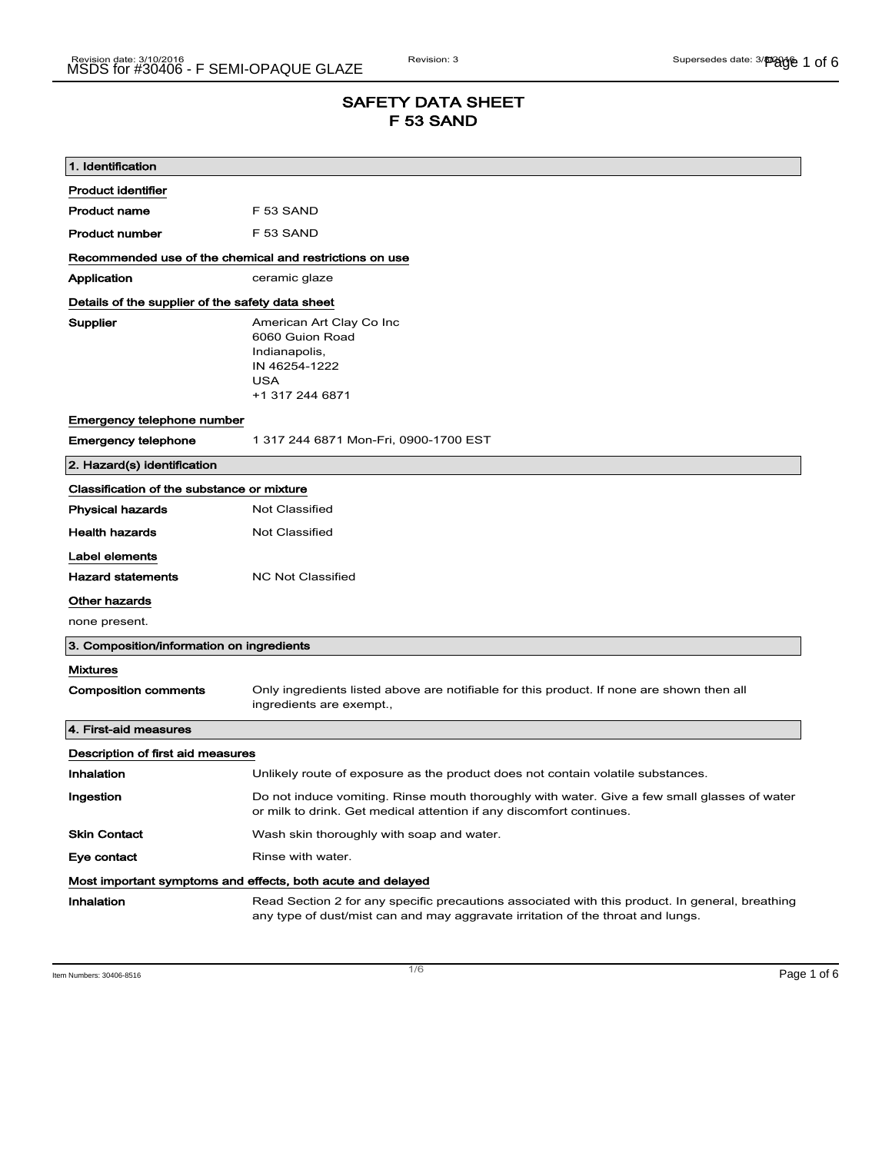## SAFETY DATA SHEET F 53 SAND

| 1. Identification                                                            |                                                                                                                                                                                    |
|------------------------------------------------------------------------------|------------------------------------------------------------------------------------------------------------------------------------------------------------------------------------|
| <b>Product identifier</b>                                                    |                                                                                                                                                                                    |
| <b>Product name</b>                                                          | F 53 SAND                                                                                                                                                                          |
| <b>Product number</b>                                                        | F 53 SAND                                                                                                                                                                          |
| Recommended use of the chemical and restrictions on use                      |                                                                                                                                                                                    |
| Application                                                                  | ceramic glaze                                                                                                                                                                      |
| Details of the supplier of the safety data sheet                             |                                                                                                                                                                                    |
| Supplier                                                                     | American Art Clay Co Inc<br>6060 Guion Road<br>Indianapolis,<br>IN 46254-1222<br><b>USA</b><br>+1 317 244 6871                                                                     |
| Emergency telephone number                                                   |                                                                                                                                                                                    |
| <b>Emergency telephone</b>                                                   | 1 317 244 6871 Mon-Fri, 0900-1700 EST                                                                                                                                              |
| 2. Hazard(s) identification                                                  |                                                                                                                                                                                    |
| Classification of the substance or mixture                                   |                                                                                                                                                                                    |
| <b>Physical hazards</b>                                                      | <b>Not Classified</b>                                                                                                                                                              |
| <b>Health hazards</b>                                                        | <b>Not Classified</b>                                                                                                                                                              |
| Label elements<br><b>Hazard statements</b><br>Other hazards<br>none present. | <b>NC Not Classified</b>                                                                                                                                                           |
| 3. Composition/information on ingredients                                    |                                                                                                                                                                                    |
| <b>Mixtures</b>                                                              |                                                                                                                                                                                    |
| <b>Composition comments</b>                                                  | Only ingredients listed above are notifiable for this product. If none are shown then all<br>ingredients are exempt.,                                                              |
| 4. First-aid measures                                                        |                                                                                                                                                                                    |
| Description of first aid measures                                            |                                                                                                                                                                                    |
| Inhalation                                                                   | Unlikely route of exposure as the product does not contain volatile substances.                                                                                                    |
| Ingestion                                                                    | Do not induce vomiting. Rinse mouth thoroughly with water. Give a few small glasses of water<br>or milk to drink. Get medical attention if any discomfort continues.               |
| <b>Skin Contact</b>                                                          | Wash skin thoroughly with soap and water.                                                                                                                                          |
| Eye contact                                                                  | Rinse with water.                                                                                                                                                                  |
| Most important symptoms and effects, both acute and delayed                  |                                                                                                                                                                                    |
| Inhalation                                                                   | Read Section 2 for any specific precautions associated with this product. In general, breathing<br>any type of dust/mist can and may aggravate irritation of the throat and lungs. |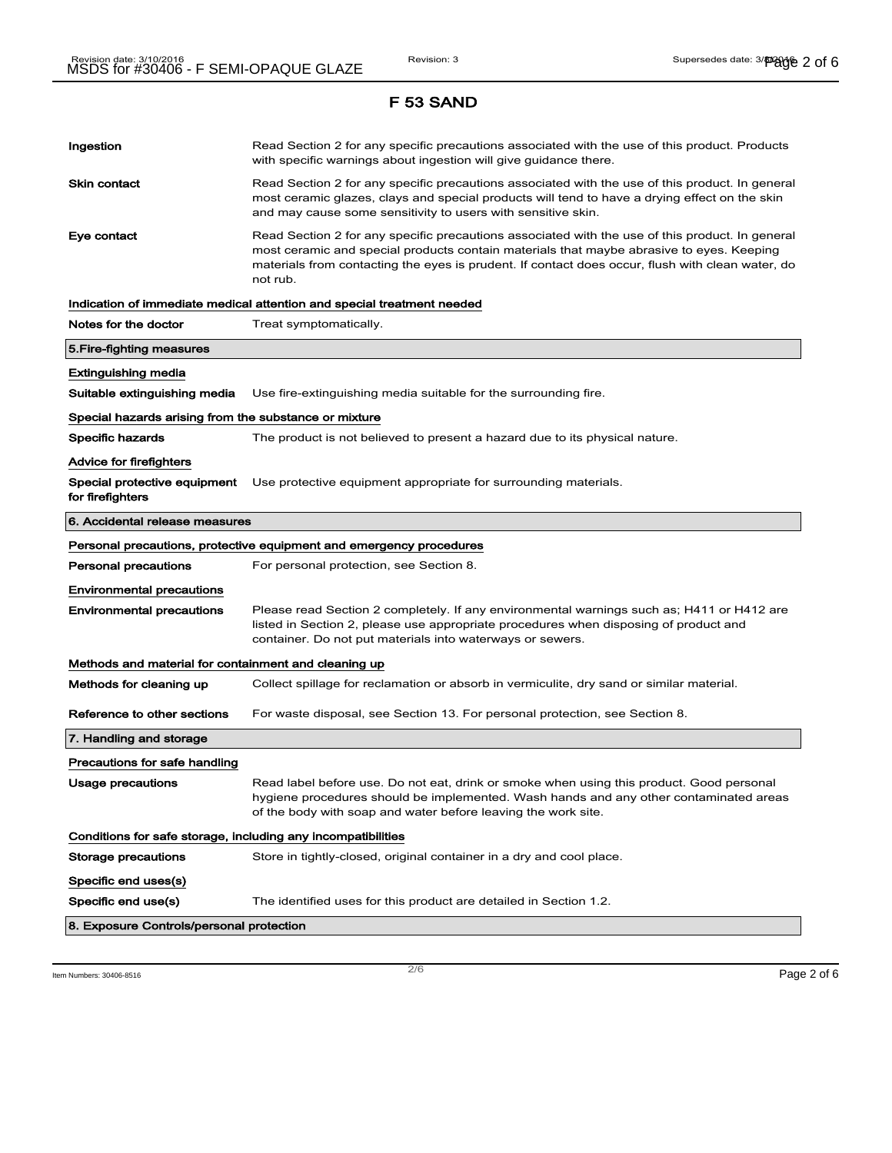# Ingestion **Read Section 2 for any specific precautions associated with the use of this product. Products** with specific warnings about ingestion will give guidance there. Skin contact **Read Section 2 for any specific precautions associated with the use of this product. In general** most ceramic glazes, clays and special products will tend to have a drying effect on the skin and may cause some sensitivity to users with sensitive skin. Eye contact **Read Section 2 for any specific precautions associated with the use of this product. In general** most ceramic and special products contain materials that maybe abrasive to eyes. Keeping materials from contacting the eyes is prudent. If contact does occur, flush with clean water, do not rub. Indication of immediate medical attention and special treatment needed Notes for the doctor Treat symptomatically. 5.Fire-fighting measures Extinguishing media Suitable extinguishing media Use fire-extinguishing media suitable for the surrounding fire. Special hazards arising from the substance or mixture Specific hazards The product is not believed to present a hazard due to its physical nature. Advice for firefighters Special protective equipment Use protective equipment appropriate for surrounding materials. for firefighters 6. Accidental release measures Personal precautions, protective equipment and emergency procedures Personal precautions For personal protection, see Section 8. Environmental precautions Environmental precautions Please read Section 2 completely. If any environmental warnings such as; H411 or H412 are listed in Section 2, please use appropriate procedures when disposing of product and container. Do not put materials into waterways or sewers. Methods and material for containment and cleaning up Methods for cleaning up Collect spillage for reclamation or absorb in vermiculite, dry sand or similar material. Reference to other sections For waste disposal, see Section 13. For personal protection, see Section 8. 7. Handling and storage Precautions for safe handling Usage precautions **Read label before use. Do not eat, drink or smoke when using this product. Good personal** hygiene procedures should be implemented. Wash hands and any other contaminated areas of the body with soap and water before leaving the work site. Conditions for safe storage, including any incompatibilities Storage precautions Store in tightly-closed, original container in a dry and cool place. Specific end uses(s) Specific end use(s) The identified uses for this product are detailed in Section 1.2. 8. Exposure Controls/personal protection

 $\overline{\phantom{a}}$ ltem Numbers: 30406-8516  $\overline{\phantom{a}}$   $\overline{\phantom{a}}$   $\overline{\phantom{a}}$   $\overline{\phantom{a}}$   $\overline{\phantom{a}}$   $\overline{\phantom{a}}$   $\overline{\phantom{a}}$   $\overline{\phantom{a}}$   $\overline{\phantom{a}}$   $\overline{\phantom{a}}$   $\overline{\phantom{a}}$   $\overline{\phantom{a}}$   $\overline{\phantom{a}}$   $\overline{\phantom{a}}$   $\overline{\phantom{a}}$   $\overline{\$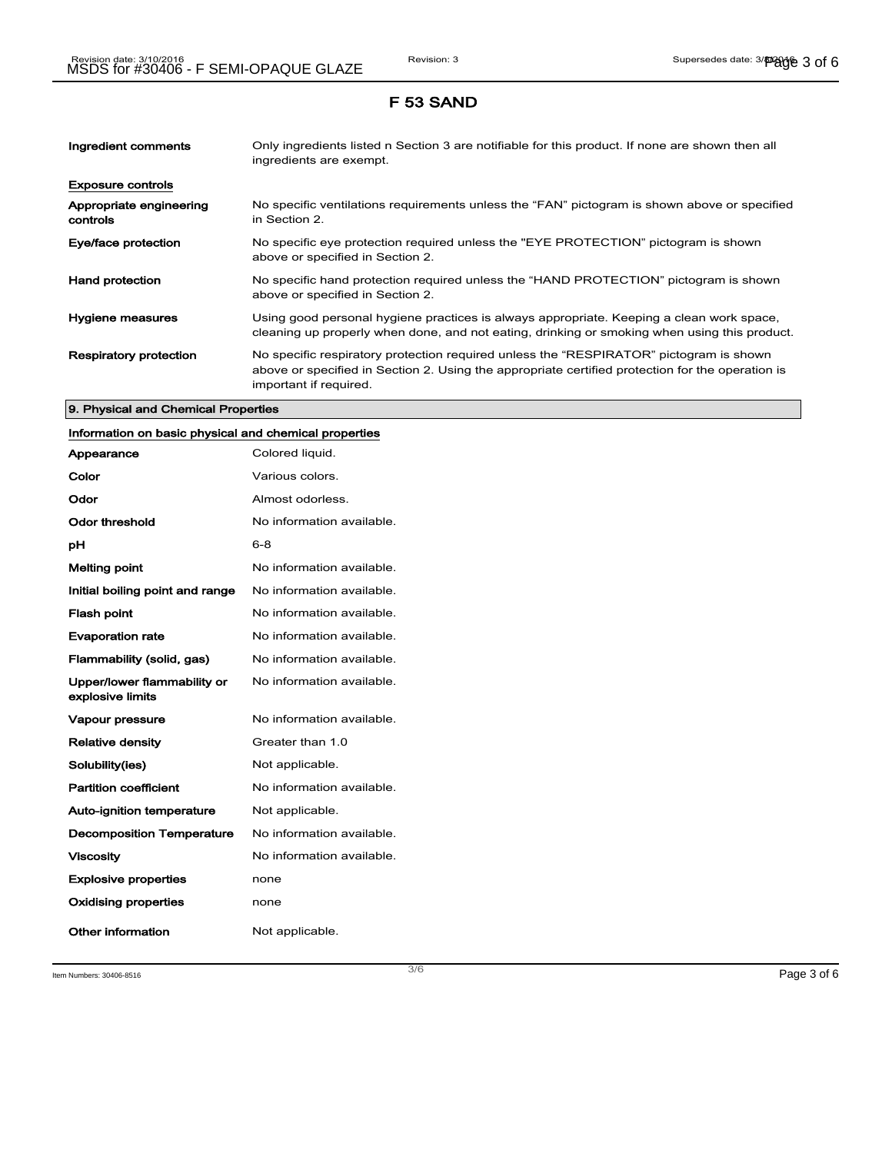| Ingredient comments                 | Only ingredients listed n Section 3 are notifiable for this product. If none are shown then all<br>ingredients are exempt.                                                                                           |
|-------------------------------------|----------------------------------------------------------------------------------------------------------------------------------------------------------------------------------------------------------------------|
| <b>Exposure controls</b>            |                                                                                                                                                                                                                      |
| Appropriate engineering<br>controls | No specific ventilations requirements unless the "FAN" pictogram is shown above or specified<br>in Section 2.                                                                                                        |
| Eye/face protection                 | No specific eye protection required unless the "EYE PROTECTION" pictogram is shown<br>above or specified in Section 2.                                                                                               |
| <b>Hand protection</b>              | No specific hand protection required unless the "HAND PROTECTION" pictogram is shown<br>above or specified in Section 2.                                                                                             |
| Hygiene measures                    | Using good personal hygiene practices is always appropriate. Keeping a clean work space,<br>cleaning up properly when done, and not eating, drinking or smoking when using this product.                             |
| <b>Respiratory protection</b>       | No specific respiratory protection required unless the "RESPIRATOR" pictogram is shown<br>above or specified in Section 2. Using the appropriate certified protection for the operation is<br>important if required. |

### 9. Physical and Chemical Properties

# Information on basic physical and chemical properties

| Appearance                                      | Colored liquid.           |
|-------------------------------------------------|---------------------------|
| Color                                           | Various colors.           |
| Odor                                            | Almost odorless.          |
| Odor threshold                                  | No information available. |
| рH                                              | $6 - 8$                   |
| <b>Melting point</b>                            | No information available. |
| Initial boiling point and range                 | No information available. |
| <b>Flash point</b>                              | No information available. |
| <b>Evaporation rate</b>                         | No information available. |
| Flammability (solid, gas)                       | No information available. |
| Upper/lower flammability or<br>explosive limits | No information available. |
| <b>Vapour pressure</b>                          | No information available. |
| <b>Relative density</b>                         | Greater than 1.0          |
| Solubility(ies)                                 | Not applicable.           |
| <b>Partition coefficient</b>                    | No information available. |
| <b>Auto-ignition temperature</b>                | Not applicable.           |
| <b>Decomposition Temperature</b>                | No information available. |
| <b>Viscosity</b>                                | No information available. |
| <b>Explosive properties</b>                     | none                      |
| <b>Oxidising properties</b>                     | none                      |
| <b>Other information</b>                        | Not applicable.           |

Item Numbers:  $30406-8516$   $Page 3 of 6$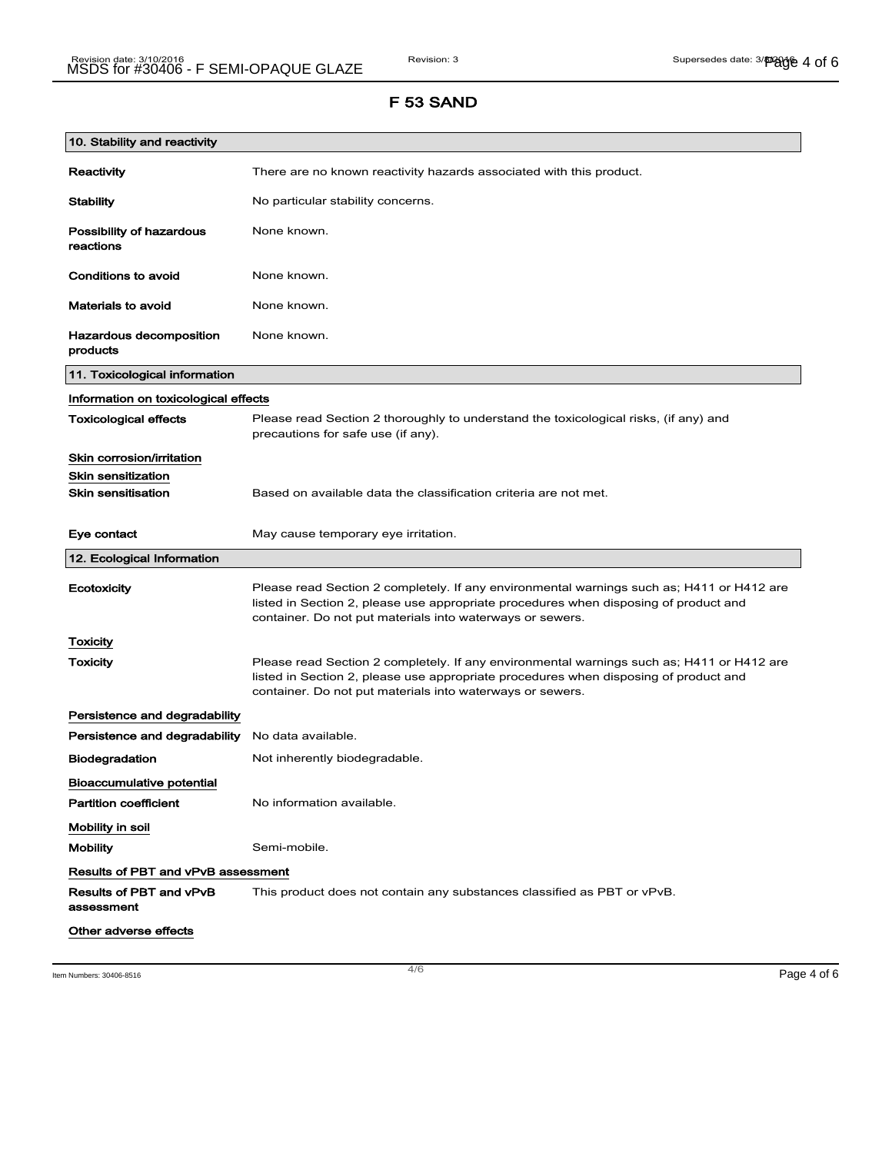| 10. Stability and reactivity          |                                                                                                                                                                                                                                                |  |
|---------------------------------------|------------------------------------------------------------------------------------------------------------------------------------------------------------------------------------------------------------------------------------------------|--|
| <b>Reactivity</b>                     | There are no known reactivity hazards associated with this product.                                                                                                                                                                            |  |
| <b>Stability</b>                      | No particular stability concerns.                                                                                                                                                                                                              |  |
| Possibility of hazardous<br>reactions | None known.                                                                                                                                                                                                                                    |  |
| <b>Conditions to avoid</b>            | None known.                                                                                                                                                                                                                                    |  |
| <b>Materials to avoid</b>             | None known.                                                                                                                                                                                                                                    |  |
| Hazardous decomposition<br>products   | None known.                                                                                                                                                                                                                                    |  |
| 11. Toxicological information         |                                                                                                                                                                                                                                                |  |
| Information on toxicological effects  |                                                                                                                                                                                                                                                |  |
| <b>Toxicological effects</b>          | Please read Section 2 thoroughly to understand the toxicological risks, (if any) and<br>precautions for safe use (if any).                                                                                                                     |  |
| Skin corrosion/irritation             |                                                                                                                                                                                                                                                |  |
| <b>Skin sensitization</b>             |                                                                                                                                                                                                                                                |  |
| <b>Skin sensitisation</b>             | Based on available data the classification criteria are not met.                                                                                                                                                                               |  |
| Eye contact                           | May cause temporary eye irritation.                                                                                                                                                                                                            |  |
| 12. Ecological Information            |                                                                                                                                                                                                                                                |  |
| Ecotoxicity                           | Please read Section 2 completely. If any environmental warnings such as; H411 or H412 are<br>listed in Section 2, please use appropriate procedures when disposing of product and<br>container. Do not put materials into waterways or sewers. |  |
| <b>Toxicity</b>                       |                                                                                                                                                                                                                                                |  |
| Toxicity                              | Please read Section 2 completely. If any environmental warnings such as; H411 or H412 are<br>listed in Section 2, please use appropriate procedures when disposing of product and<br>container. Do not put materials into waterways or sewers. |  |
| Persistence and degradability         |                                                                                                                                                                                                                                                |  |
| Persistence and degradability         | No data available.                                                                                                                                                                                                                             |  |
| <b>Biodegradation</b>                 | Not inherently biodegradable.                                                                                                                                                                                                                  |  |
| <b>Bioaccumulative potential</b>      |                                                                                                                                                                                                                                                |  |
| <b>Partition coefficient</b>          | No information available.                                                                                                                                                                                                                      |  |
| Mobility in soil                      |                                                                                                                                                                                                                                                |  |
| <b>Mobility</b>                       | Semi-mobile.                                                                                                                                                                                                                                   |  |
| Results of PBT and vPvB assessment    |                                                                                                                                                                                                                                                |  |
| Results of PBT and vPvB<br>assessment | This product does not contain any substances classified as PBT or vPvB.                                                                                                                                                                        |  |
| Other adverse effects                 |                                                                                                                                                                                                                                                |  |

Item Numbers: 30406-8516 **Page 4 of 6**  $\overline{a}$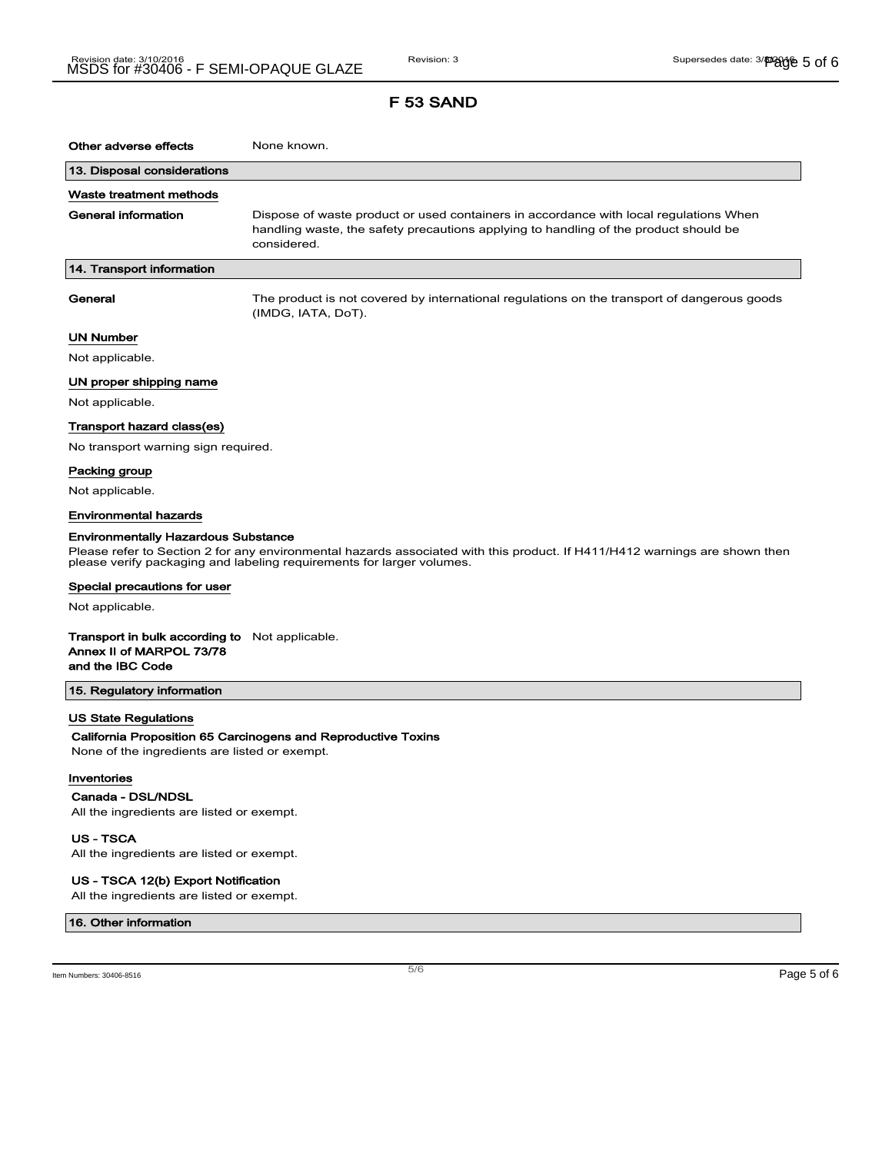| Other adverse effects                                                                                                                                                                               | None known.                                                                                                                                                                                  |  |
|-----------------------------------------------------------------------------------------------------------------------------------------------------------------------------------------------------|----------------------------------------------------------------------------------------------------------------------------------------------------------------------------------------------|--|
| 13. Disposal considerations                                                                                                                                                                         |                                                                                                                                                                                              |  |
| Waste treatment methods                                                                                                                                                                             |                                                                                                                                                                                              |  |
| <b>General information</b>                                                                                                                                                                          | Dispose of waste product or used containers in accordance with local regulations When<br>handling waste, the safety precautions applying to handling of the product should be<br>considered. |  |
| 14. Transport information                                                                                                                                                                           |                                                                                                                                                                                              |  |
| General                                                                                                                                                                                             | The product is not covered by international regulations on the transport of dangerous goods<br>(IMDG, IATA, DoT).                                                                            |  |
| UN Number                                                                                                                                                                                           |                                                                                                                                                                                              |  |
| Not applicable.                                                                                                                                                                                     |                                                                                                                                                                                              |  |
| UN proper shipping name                                                                                                                                                                             |                                                                                                                                                                                              |  |
| Not applicable.                                                                                                                                                                                     |                                                                                                                                                                                              |  |
| Transport hazard class(es)                                                                                                                                                                          |                                                                                                                                                                                              |  |
| No transport warning sign required.                                                                                                                                                                 |                                                                                                                                                                                              |  |
| Packing group                                                                                                                                                                                       |                                                                                                                                                                                              |  |
| Not applicable.                                                                                                                                                                                     |                                                                                                                                                                                              |  |
| Environmental hazards                                                                                                                                                                               |                                                                                                                                                                                              |  |
| Environmentally Hazardous Substance                                                                                                                                                                 |                                                                                                                                                                                              |  |
| Please refer to Section 2 for any environmental hazards associated with this product. If H411/H412 warnings are shown then<br>please verify packaging and labeling requirements for larger volumes. |                                                                                                                                                                                              |  |
| Special precautions for user                                                                                                                                                                        |                                                                                                                                                                                              |  |
| Not applicable.                                                                                                                                                                                     |                                                                                                                                                                                              |  |
| <b>Transport in bulk according to</b> Not applicable.<br>Annex II of MARPOL 73/78<br>and the IBC Code                                                                                               |                                                                                                                                                                                              |  |
| 15. Regulatory information                                                                                                                                                                          |                                                                                                                                                                                              |  |
| US State Regulations<br>None of the ingredients are listed or exempt.<br>Inventories                                                                                                                | California Proposition 65 Carcinogens and Reproductive Toxins                                                                                                                                |  |

#### Canada - DSL/NDSL

 $\overline{\phantom{a}}$ 

All the ingredients are listed or exempt.

US - TSCA

All the ingredients are listed or exempt.

### US - TSCA 12(b) Export Notification

All the ingredients are listed or exempt.

#### 16. Other information